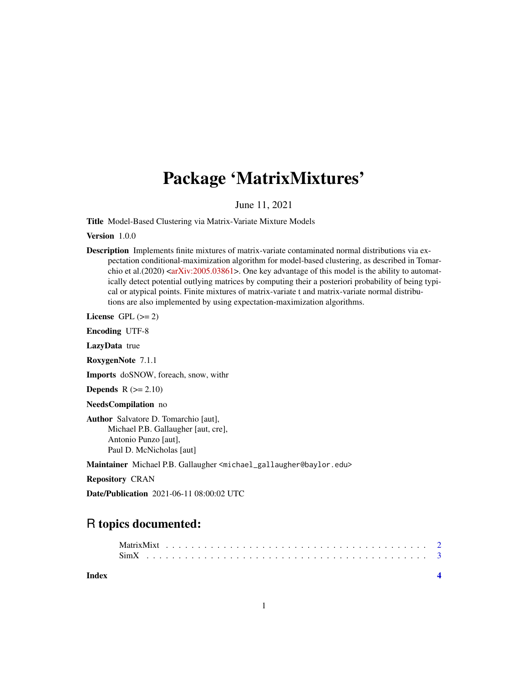## Package 'MatrixMixtures'

June 11, 2021

Title Model-Based Clustering via Matrix-Variate Mixture Models

Version 1.0.0

Description Implements finite mixtures of matrix-variate contaminated normal distributions via expectation conditional-maximization algorithm for model-based clustering, as described in Tomarchio et al.(2020)  $\langle$ arXiv:2005.03861>. One key advantage of this model is the ability to automatically detect potential outlying matrices by computing their a posteriori probability of being typical or atypical points. Finite mixtures of matrix-variate t and matrix-variate normal distributions are also implemented by using expectation-maximization algorithms.

License GPL  $(>= 2)$ 

Encoding UTF-8

LazyData true

RoxygenNote 7.1.1

Imports doSNOW, foreach, snow, withr

**Depends**  $R$  ( $>= 2.10$ )

NeedsCompilation no

Author Salvatore D. Tomarchio [aut], Michael P.B. Gallaugher [aut, cre], Antonio Punzo [aut], Paul D. McNicholas [aut]

Maintainer Michael P.B. Gallaugher <michael\_gallaugher@baylor.edu>

Repository CRAN

Date/Publication 2021-06-11 08:00:02 UTC

### R topics documented:

| Index |  |  |  |  |  |  |  |  |  |  |  |  |  |  |  |  |  |  |  |  |
|-------|--|--|--|--|--|--|--|--|--|--|--|--|--|--|--|--|--|--|--|--|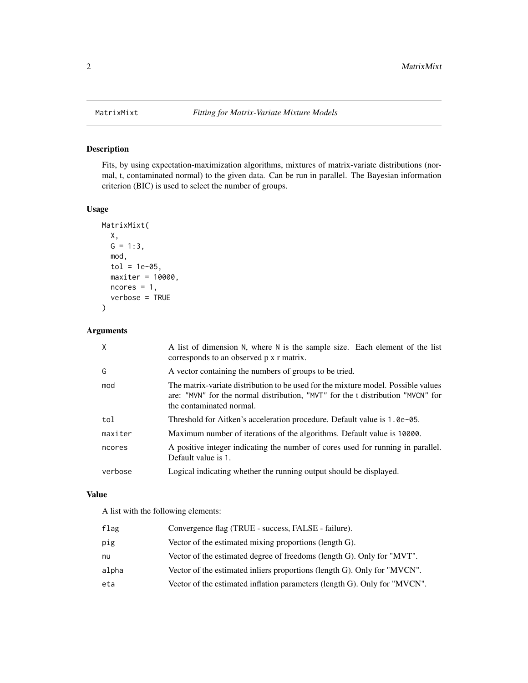#### Description

Fits, by using expectation-maximization algorithms, mixtures of matrix-variate distributions (normal, t, contaminated normal) to the given data. Can be run in parallel. The Bayesian information criterion (BIC) is used to select the number of groups.

#### Usage

```
MatrixMixt(
 X,
 G = 1:3,
 mod,
  tol = 1e-05,maxiter = 10000,
 ncores = 1,
  verbose = TRUE
)
```
#### Arguments

| $\times$ | A list of dimension N, where N is the sample size. Each element of the list<br>corresponds to an observed p x r matrix.                                                                          |
|----------|--------------------------------------------------------------------------------------------------------------------------------------------------------------------------------------------------|
| G        | A vector containing the numbers of groups to be tried.                                                                                                                                           |
| mod      | The matrix-variate distribution to be used for the mixture model. Possible values<br>are: "MVN" for the normal distribution, "MVT" for the t distribution "MVCN" for<br>the contaminated normal. |
| tol      | Threshold for Aitken's acceleration procedure. Default value is 1.0e-05.                                                                                                                         |
| maxiter  | Maximum number of iterations of the algorithms. Default value is 10000.                                                                                                                          |
| ncores   | A positive integer indicating the number of cores used for running in parallel.<br>Default value is 1.                                                                                           |
| verbose  | Logical indicating whether the running output should be displayed.                                                                                                                               |

#### Value

A list with the following elements:

| flag  | Convergence flag (TRUE - success, FALSE - failure).                       |
|-------|---------------------------------------------------------------------------|
| pig   | Vector of the estimated mixing proportions (length G).                    |
| nu    | Vector of the estimated degree of freedoms (length G). Only for "MVT".    |
| alpha | Vector of the estimated in liers proportions (length G). Only for "MVCN". |
| eta   | Vector of the estimated inflation parameters (length G). Only for "MVCN". |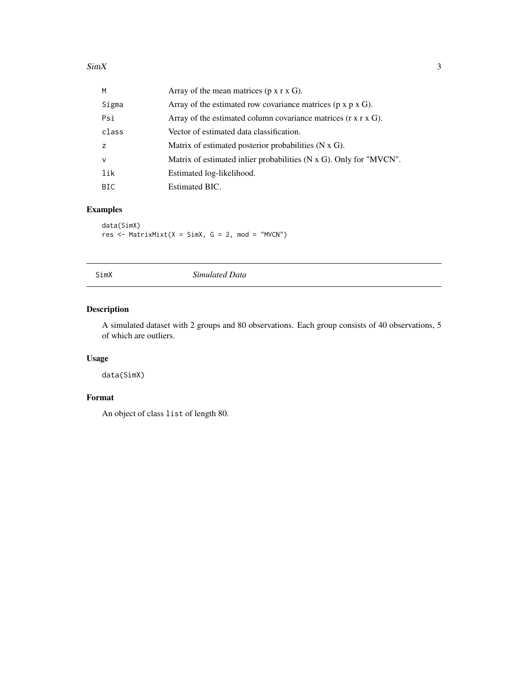<span id="page-2-0"></span>

| M            | Array of the mean matrices $(p \times r \times G)$ .                        |
|--------------|-----------------------------------------------------------------------------|
| Sigma        | Array of the estimated row covariance matrices ( $p \times p \times G$ ).   |
| Psi          | Array of the estimated column covariance matrices $(r \times r \times G)$ . |
| class        | Vector of estimated data classification.                                    |
| Z            | Matrix of estimated posterior probabilities $(N \times G)$ .                |
| $\mathsf{v}$ | Matrix of estimated in lier probabilities (N x G). Only for "MVCN".         |
| lik          | Estimated log-likelihood.                                                   |
| BIC.         | Estimated BIC.                                                              |

#### Examples

data(SimX) res  $\leq$  MatrixMixt(X = SimX, G = 2, mod = "MVCN")

SimX *Simulated Data*

#### Description

A simulated dataset with 2 groups and 80 observations. Each group consists of 40 observations, 5 of which are outliers.

#### Usage

data(SimX)

#### Format

An object of class list of length 80.